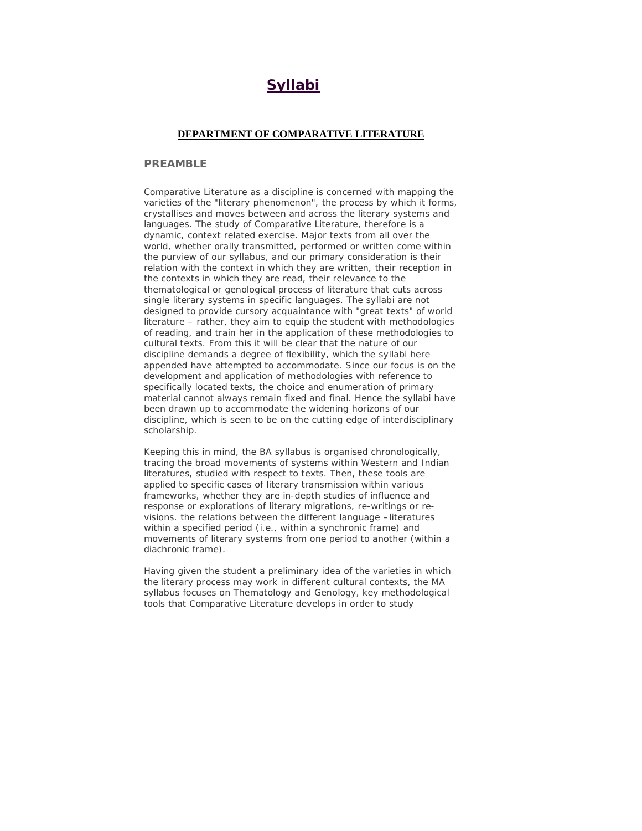# **Syllabi**

## **DEPARTMENT OF COMPARATIVE LITERATURE**

## **PREAMBLE**

Comparative Literature as a discipline is concerned with mapping the varieties of the "literary phenomenon", the process by which it forms, crystallises and moves between and across the literary systems and languages. The study of Comparative Literature, therefore is a dynamic, context related exercise. Major texts from all over the world, whether orally transmitted, performed or written come within the purview of our syllabus, and our primary consideration is their relation with the context in which they are written, their reception in the contexts in which they are read, their relevance to the thematological or genological process of literature that cuts across single literary systems in specific languages. The syllabi are not designed to provide cursory acquaintance with "great texts" of world literature – rather, they aim to equip the student with methodologies of reading, and train her in the application of these methodologies to cultural texts. From this it will be clear that the nature of our discipline demands a degree of flexibility, which the syllabi here appended have attempted to accommodate. Since our focus is on the development and application of methodologies with reference to specifically located texts, the choice and enumeration of primary material cannot always remain fixed and final. Hence the syllabi have been drawn up to accommodate the widening horizons of our discipline, which is seen to be on the cutting edge of interdisciplinary scholarship.

Keeping this in mind, the BA syllabus is organised chronologically, tracing the broad movements of systems within Western and Indian literatures, studied with respect to texts. Then, these tools are applied to specific cases of literary transmission within various frameworks, whether they are in-depth studies of influence and response or explorations of literary migrations, re-writings or revisions. the relations between the different language –literatures within a specified period (i.e., within a synchronic frame) and movements of literary systems from one period to another (within a diachronic frame).

Having given the student a preliminary idea of the varieties in which the literary process may work in different cultural contexts, the MA syllabus focuses on Thematology and Genology, key methodological tools that Comparative Literature develops in order to study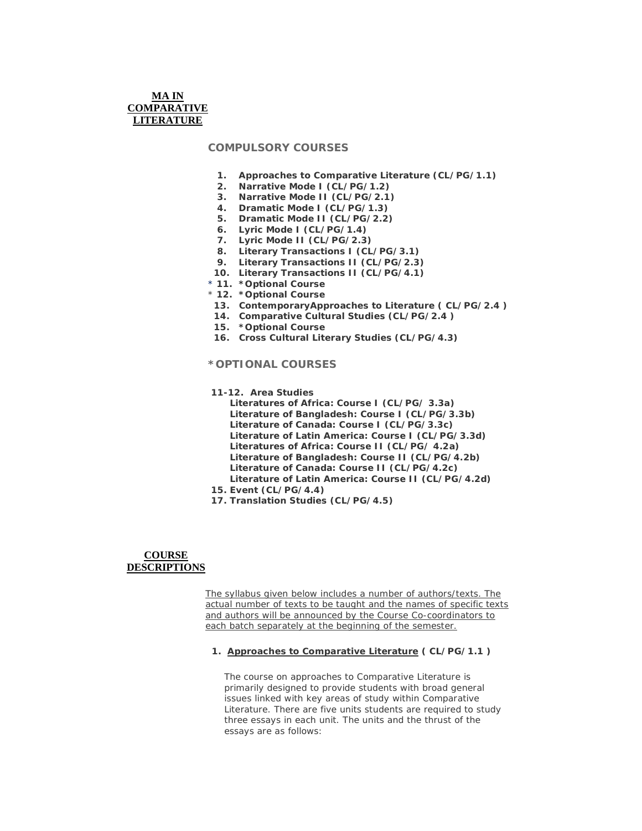# **MA IN COMPARATIVE LITERATURE**

# **COMPULSORY COURSES**

- **1. Approaches to Comparative Literature (CL/PG/1.1)**
- **2. Narrative Mode I (CL/PG/1.2)**
- **3. Narrative Mode II (CL/PG/2.1)**
- **4. Dramatic Mode I (CL/PG/1.3)**
- **5. Dramatic Mode II (CL/PG/2.2)**
- **6. Lyric Mode I (CL/PG/1.4)**
- **7. Lyric Mode II (CL/PG/2.3)**
- **8. Literary Transactions I (CL/PG/3.1)**
- **9. Literary Transactions II (CL/PG/2.3)**
- **10. Literary Transactions II (CL/PG/4.1)**
- \* **11. \*Optional Course**
- \* **12. \*Optional Course**
- **13. ContemporaryApproaches to Literature ( CL/PG/2.4 )**
- **14. Comparative Cultural Studies (CL/PG/2.4 )**
- **15. \*Optional Course**
- **16. Cross Cultural Literary Studies (CL/PG/4.3)**

# **\*OPTIONAL COURSES**

- **11-12. Area Studies**
	- **Literatures of Africa: Course I (CL/PG/ 3.3a) Literature of Bangladesh: Course I (CL/PG/3.3b) Literature of Canada: Course I (CL/PG/3.3c) Literature of Latin America: Course I (CL/PG/3.3d) Literatures of Africa: Course II (CL/PG/ 4.2a) Literature of Bangladesh: Course II (CL/PG/4.2b) Literature of Canada: Course II (CL/PG/4.2c) Literature of Latin America: Course II (CL/PG/4.2d)**
- **15. Event (CL/PG/4.4)**
- **17. Translation Studies (CL/PG/4.5)**

## **COURSE DESCRIPTIONS**

The syllabus given below includes a number of authors/texts. The actual number of texts to be taught and the names of specific texts and authors will be announced by the Course Co-coordinators to each batch separately at the beginning of the semester.

## **1. Approaches to Comparative Literature ( CL/PG/1.1 )**

The course on approaches to Comparative Literature is primarily designed to provide students with broad general issues linked with key areas of study within Comparative Literature. There are five units students are required to study three essays in each unit. The units and the thrust of the essays are as follows: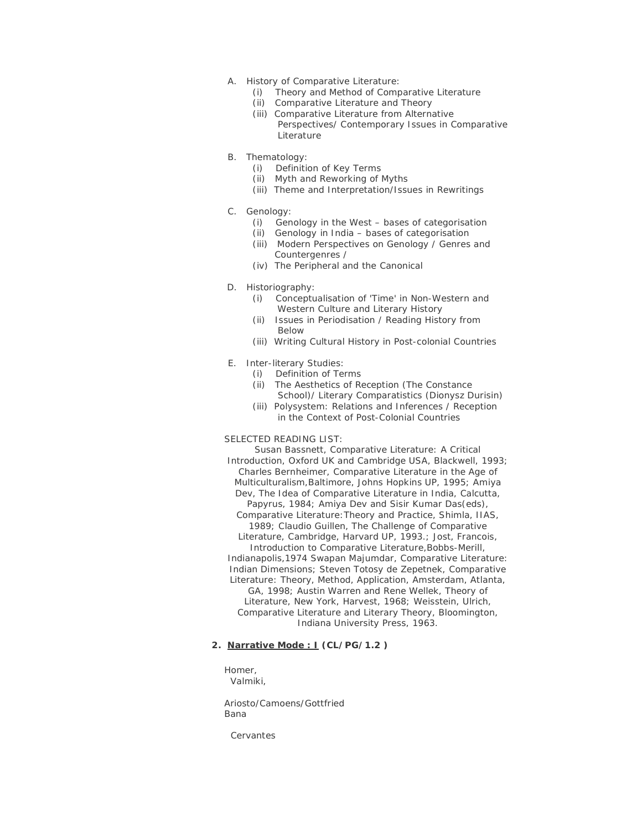- A. History of Comparative Literature:
	- (i) Theory and Method of Comparative Literature
	- (ii) Comparative Literature and Theory
	- (iii) Comparative Literature from Alternative Perspectives/ Contemporary Issues in Comparative Literature
- B. Thematology:
	- (i) Definition of Key Terms
	- (ii) Myth and Reworking of Myths
	- (iii) Theme and Interpretation/Issues in Rewritings
- C. Genology:
	- (i) Genology in the West bases of categorisation
	- (ii) Genology in India bases of categorisation
	- (iii) Modern Perspectives on Genology / Genres and Countergenres /
	- (iv) The Peripheral and the Canonical
- D. Historiography:
	- (i) Conceptualisation of 'Time' in Non-Western and Western Culture and Literary History
	- (ii) Issues in Periodisation / Reading History from Below
	- (iii) Writing Cultural History in Post-colonial Countries
- E. Inter-literary Studies:
	- (i) Definition of Terms
		- (ii) The Aesthetics of Reception (The Constance School)/ Literary Comparatistics (Dionysz Durisin)
		- (iii) Polysystem: Relations and Inferences / Reception in the Context of Post-Colonial Countries

# SELECTED READING LIST:

Susan Bassnett, *Comparative Literature: A Critical Introduction,* Oxford UK and Cambridge USA, Blackwell, 1993; Charles Bernheimer, *Comparative Literature in the Age of Multiculturalism,*Baltimore, Johns Hopkins UP, 1995; Amiya Dev, *The Idea of Comparative Literature in India,* Calcutta, Papyrus, 1984; Amiya Dev and Sisir Kumar Das(eds), *Comparative Literature:Theory and Practice,* Shimla, IIAS, 1989; Claudio Guillen, *The Challenge of Comparative Literature,* Cambridge, Harvard UP, 1993.; Jost, Francois, *Introduction to Comparative Literature,Bobbs-Merill, Indianapolis,1974* Swapan Majumdar, *Comparative Literature: Indian Dimensions;* Steven Totosy de Zepetnek, *Comparative Literature: Theory, Method, Application,* Amsterdam, Atlanta, GA, 1998; Austin Warren and Rene Wellek, *Theory of Literature,* New York, Harvest, 1968; Weisstein, Ulrich, *Comparative Literature and Literary Theory,* Bloomington, Indiana University Press, 1963.

## **2. Narrative Mode : I (CL/PG/1.2 )**

Homer, Valmiki,

Ariosto/Camoens/Gottfried Bana

Cervantes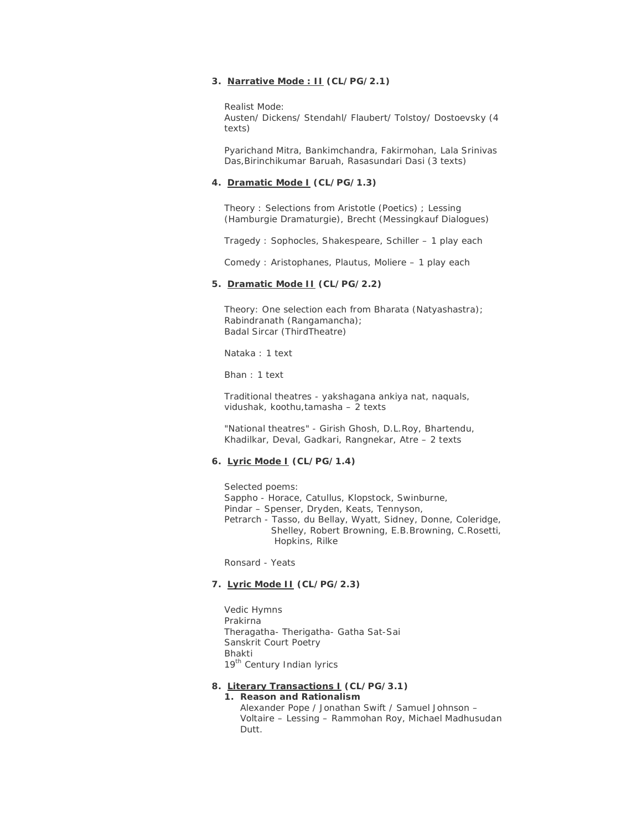## **3. Narrative Mode : II (CL/PG/2.1)**

Realist Mode: Austen/ Dickens/ Stendahl/ Flaubert/ Tolstoy/ Dostoevsky (4 texts)

Pyarichand Mitra, Bankimchandra, Fakirmohan, Lala Srinivas Das,Birinchikumar Baruah, Rasasundari Dasi (3 texts)

#### **4. Dramatic Mode I (CL/PG/1.3)**

Theory : Selections from Aristotle (Poetics) ; Lessing (Hamburgie Dramaturgie), Brecht (Messingkauf Dialogues)

Tragedy : Sophocles, Shakespeare, Schiller – 1 play each

Comedy : Aristophanes, Plautus, Moliere – 1 play each

#### **5. Dramatic Mode II (CL/PG/2.2)**

Theory: One selection each from Bharata (Natyashastra); Rabindranath (Rangamancha); Badal Sircar (ThirdTheatre)

Nataka : 1 text

Bhan : 1 text

Traditional theatres - yakshagana ankiya nat, naquals, vidushak, koothu,tamasha – 2 texts

"National theatres" - Girish Ghosh, D.L.Roy, Bhartendu, Khadilkar, Deval, Gadkari, Rangnekar, Atre – 2 texts

## **6. Lyric Mode I (CL/PG/1.4)**

Selected poems: Sappho - Horace, Catullus, Klopstock, Swinburne, Pindar – Spenser, Dryden, Keats, Tennyson, Petrarch - Tasso, du Bellay, Wyatt, Sidney, Donne, Coleridge, Shelley, Robert Browning, E.B.Browning, C.Rosetti, Hopkins, Rilke

Ronsard - Yeats

## **7. Lyric Mode II (CL/PG/2.3)**

Vedic Hymns Prakirna Theragatha- Therigatha- Gatha Sat-Sai Sanskrit Court Poetry Bhakti 19<sup>th</sup> Century Indian lyrics

#### **8. Literary Transactions I (CL/PG/3.1)**

**1. Reason and Rationalism** Alexander Pope / Jonathan Swift / Samuel Johnson – Voltaire – Lessing – Rammohan Roy, Michael Madhusudan Dutt.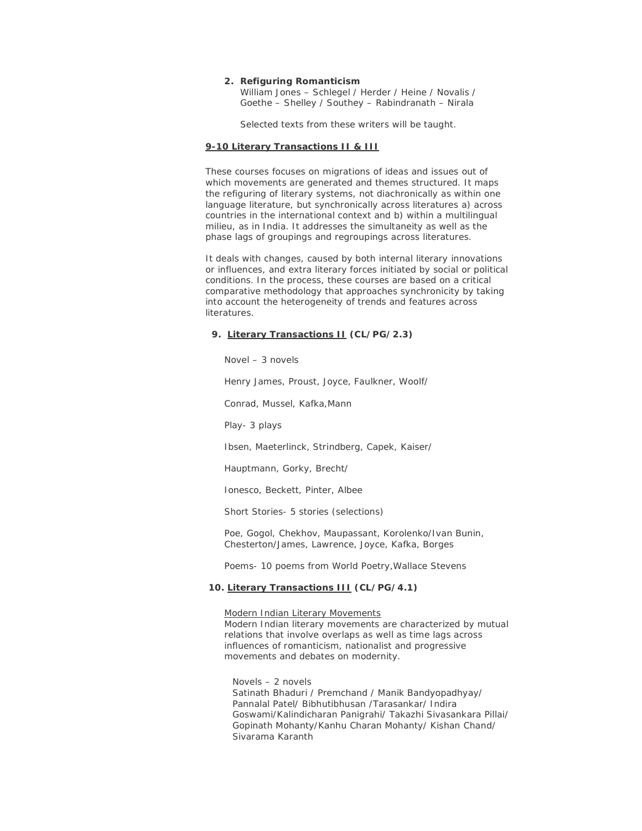#### **2. Refiguring Romanticism**

William Jones – Schlegel / Herder / Heine / Novalis / Goethe – Shelley / Southey – Rabindranath – Nirala

Selected texts from these writers will be taught.

#### **9-10 Literary Transactions II & III**

These courses focuses on migrations of ideas and issues out of which movements are generated and themes structured. It maps the refiguring of literary systems, not diachronically as within one language literature, but synchronically across literatures a) across countries in the international context and b) within a multilingual milieu, as in India. It addresses the simultaneity as well as the phase lags of groupings and regroupings across literatures.

It deals with changes, caused by both internal literary innovations or influences, and extra literary forces initiated by social or political conditions. In the process, these courses are based on a critical comparative methodology that approaches synchronicity by taking into account the heterogeneity of trends and features across literatures.

#### **9. Literary Transactions II (CL/PG/2.3)**

Novel – 3 novels

Henry James, Proust, Joyce, Faulkner, Woolf/

Conrad, Mussel, Kafka,Mann

Play- 3 plays

Ibsen, Maeterlinck, Strindberg, Capek, Kaiser/

Hauptmann, Gorky, Brecht/

Ionesco, Beckett, Pinter, Albee

Short Stories- 5 stories (selections)

Poe, Gogol, Chekhov, Maupassant, Korolenko/Ivan Bunin, Chesterton/James, Lawrence, Joyce, Kafka, Borges

Poems- 10 poems from *World Poetry*,Wallace Stevens

## **10. Literary Transactions III (CL/PG/4.1)**

Modern Indian Literary Movements Modern Indian literary movements are characterized by mutual relations that involve overlaps as well as time lags across influences of romanticism, nationalist and progressive movements and debates on modernity.

Novels – 2 novels Satinath Bhaduri / Premchand / Manik Bandyopadhyay/ Pannalal Patel/ Bibhutibhusan /Tarasankar/ Indira Goswami/Kalindicharan Panigrahi/ Takazhi Sivasankara Pillai/ Gopinath Mohanty/Kanhu Charan Mohanty/ Kishan Chand/ Sivarama Karanth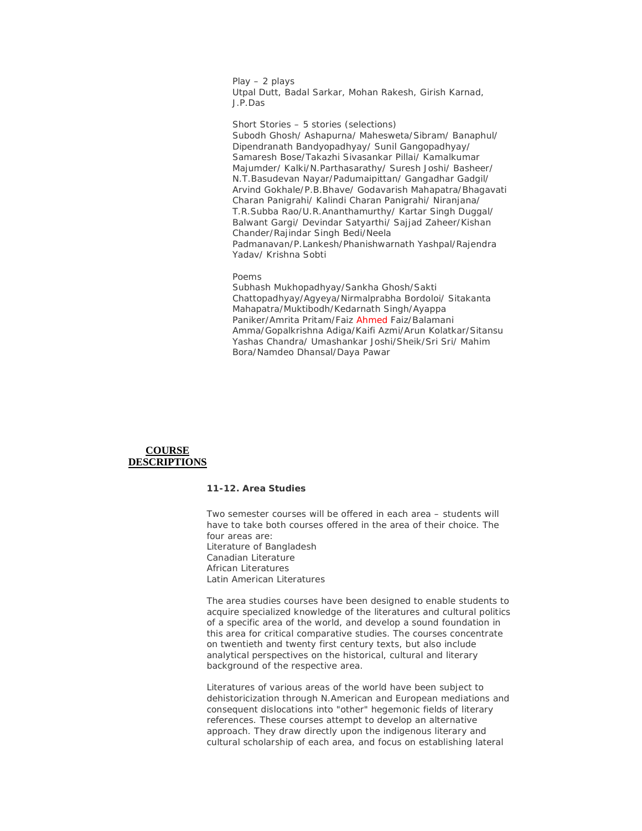Play – 2 plays Utpal Dutt, Badal Sarkar, Mohan Rakesh, Girish Karnad, J.P.Das

Short Stories – 5 stories (selections) Subodh Ghosh/ Ashapurna/ Mahesweta/Sibram/ Banaphul/ Dipendranath Bandyopadhyay/ Sunil Gangopadhyay/ Samaresh Bose/Takazhi Sivasankar Pillai/ Kamalkumar Majumder/ Kalki/N.Parthasarathy/ Suresh Joshi/ Basheer/ N.T.Basudevan Nayar/Padumaipittan/ Gangadhar Gadgil/ Arvind Gokhale/P.B.Bhave/ Godavarish Mahapatra/Bhagavati Charan Panigrahi/ Kalindi Charan Panigrahi/ Niranjana/ T.R.Subba Rao/U.R.Ananthamurthy/ Kartar Singh Duggal/ Balwant Gargi/ Devindar Satyarthi/ Sajjad Zaheer/Kishan Chander/Rajindar Singh Bedi/Neela Padmanavan/P.Lankesh/Phanishwarnath Yashpal/Rajendra Yadav/ Krishna Sobti

#### Poems

Subhash Mukhopadhyay/Sankha Ghosh/Sakti Chattopadhyay/Agyeya/Nirmalprabha Bordoloi/ Sitakanta Mahapatra/Muktibodh/Kedarnath Singh/Ayappa Paniker/Amrita Pritam/Faiz Ahmed Faiz/Balamani Amma/Gopalkrishna Adiga/Kaifi Azmi/Arun Kolatkar/Sitansu Yashas Chandra/ Umashankar Joshi/Sheik/Sri Sri/ Mahim Bora/Namdeo Dhansal/Daya Pawar

## **COURSE DESCRIPTIONS**

## **11-12. Area Studies**

Two semester courses will be offered in each area – students will have to take both courses offered in the area of their choice. The four areas are: Literature of Bangladesh Canadian Literature African Literatures Latin American Literatures

The area studies courses have been designed to enable students to acquire specialized knowledge of the literatures and cultural politics of a specific area of the world, and develop a sound foundation in this area for critical comparative studies. The courses concentrate on twentieth and twenty first century texts, but also include analytical perspectives on the historical, cultural and literary background of the respective area.

Literatures of various areas of the world have been subject to dehistoricization through N.American and European mediations and consequent dislocations into "other" hegemonic fields of literary references. These courses attempt to develop an alternative approach. They draw directly upon the indigenous literary and cultural scholarship of each area, and focus on establishing lateral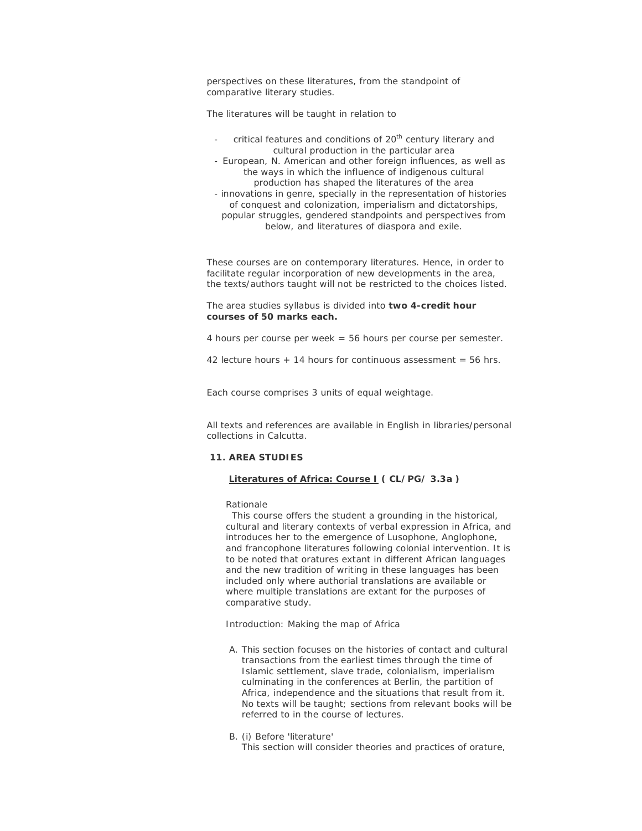perspectives on these literatures, from the standpoint of comparative literary studies.

The literatures will be taught in relation to

- critical features and conditions of 20<sup>th</sup> century literary and cultural production in the particular area
- European, N. American and other foreign influences, as well as the ways in which the influence of indigenous cultural production has shaped the literatures of the area
- innovations in genre, specially in the representation of histories of conquest and colonization, imperialism and dictatorships, popular struggles, gendered standpoints and perspectives from below, and literatures of diaspora and exile.

These courses are on contemporary literatures. Hence, in order to facilitate regular incorporation of new developments in the area, the texts/authors taught will not be restricted to the choices listed.

The area studies syllabus is divided into **two 4-credit hour courses of 50 marks each.**

4 hours per course per week = 56 hours per course per semester.

42 lecture hours  $+$  14 hours for continuous assessment = 56 hrs.

Each course comprises 3 units of equal weightage.

All texts and references are available in English in libraries/personal collections in Calcutta.

#### **11. AREA STUDIES**

#### **Literatures of Africa: Course I ( CL/PG/ 3.3a )**

Rationale

 This course offers the student a grounding in the historical, cultural and literary contexts of verbal expression in Africa, and introduces her to the emergence of Lusophone, Anglophone, and francophone literatures following colonial intervention. It is to be noted that oratures extant in different African languages and the new tradition of writing in these languages has been included only where authorial translations are available or where multiple translations are extant for the purposes of comparative study.

Introduction: Making the map of Africa

A. This section focuses on the histories of contact and cultural transactions from the earliest times through the time of Islamic settlement, slave trade, colonialism, imperialism culminating in the conferences at Berlin, the partition of Africa, independence and the situations that result from it. No texts will be taught; sections from relevant books will be referred to in the course of lectures.

#### B. (i) Before 'literature'

This section will consider theories and practices of orature,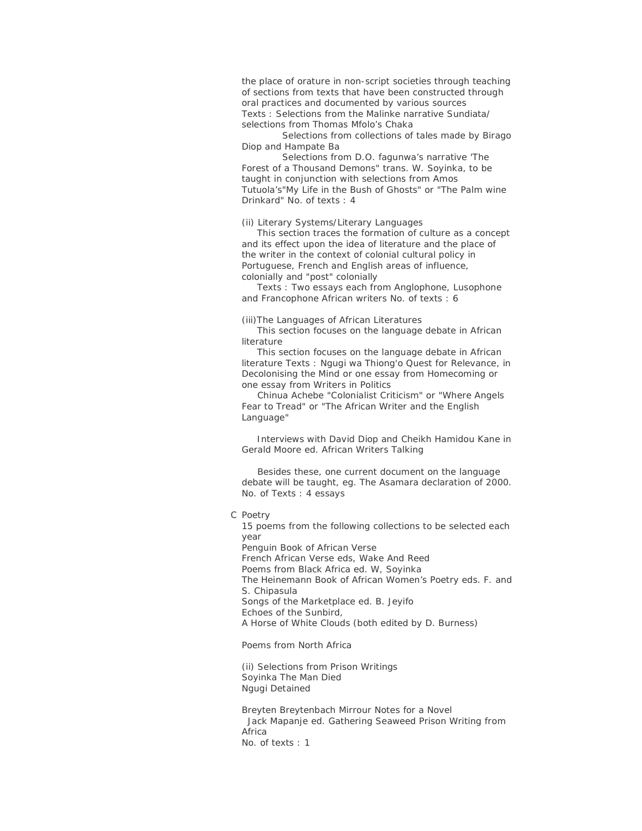the place of orature in non-script societies through teaching of sections from texts that have been constructed through oral practices and documented by various sources Texts : Selections from the Malinke narrative Sundiata/ selections from Thomas Mfolo's Chaka

 Selections from collections of tales made by Birago Diop and Hampate Ba

 Selections from D.O. fagunwa's narrative 'The Forest of a Thousand Demons" trans. W. Soyinka, to be taught in conjunction with selections from Amos Tutuola's"My Life in the Bush of Ghosts" or "The Palm wine Drinkard" No. of texts : 4

(ii) Literary Systems/Literary Languages

 This section traces the formation of culture as a concept and its effect upon the idea of literature and the place of the writer in the context of colonial cultural policy in Portuguese, French and English areas of influence, colonially and "post" colonially

 Texts : Two essays each from Anglophone, Lusophone and Francophone African writers No. of texts : 6

(iii)The Languages of African Literatures

 This section focuses on the language debate in African literature

 This section focuses on the language debate in African literature Texts : Ngugi wa Thiong'o Quest for Relevance, in *Decolonising the Mind* or one essay from Homecoming or one essay from Writers in Politics

 Chinua Achebe "Colonialist Criticism" or "Where Angels Fear to Tread" or "The African Writer and the English Language"

 Interviews with David Diop and Cheikh Hamidou Kane in Gerald Moore ed. *African Writers Talking*

 Besides these, one current document on the language debate will be taught, eg. The Asamara declaration of 2000. No. of Texts : 4 essays

#### C Poetry

15 poems from the following collections to be selected each year Penguin Book of *African Verse* French African Verse eds, *Wake And Reed Poems from Black Africa* ed. W, Soyinka *The Heinemann Book of African Women's Poetry* eds. F. and S. Chipasula *Songs of the Marketplace* ed. B. Jeyifo *Echoes of the Sunbird, A Horse of White Clouds* (both edited by D. Burness)

Poems from North Africa

(ii) Selections from Prison Writings Soyinka *The Man Died* Ngugi *Detained*

Breyten Breytenbach *Mirrour Notes for a Novel* Jack Mapanje ed. *Gathering Seaweed Prison Writing from Africa* No. of texts : 1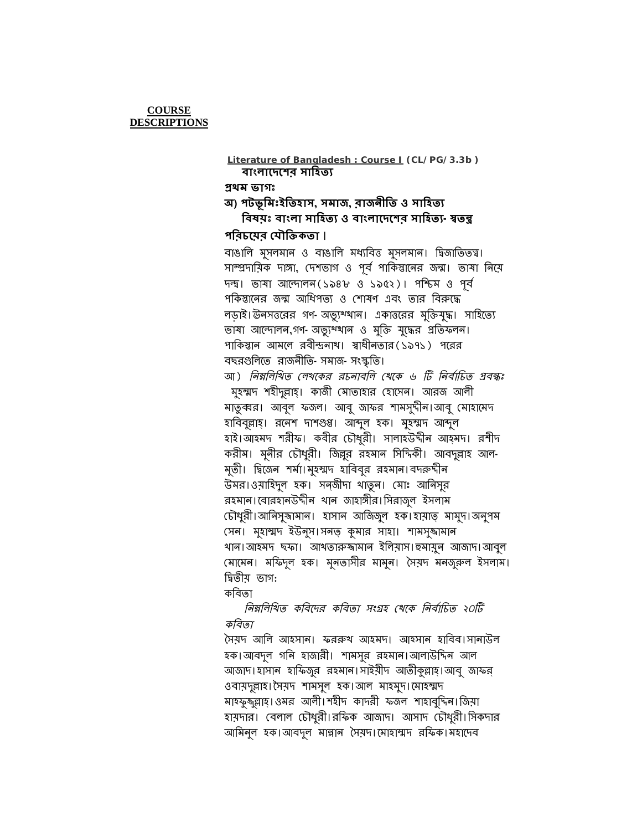*কিবতা* সৈয়দ আলি আহসান। ফররুথ আহমদ। আহসান হাবিব।সানাউল হক।আবদুল গিন হাজারী। শামসুর রহমান।আলাউিțন আল আজাদ।হাসান হাফিজুর রহমান।সাইয়ীদ আতীকুল্লাহ।আবু জাফর ওবায়দুল্লাহ। সৈয়দ শামসুল হক।আল মাহমুদ। মোহম্মদ মাহফুজুল্লাহ।ওমর আলী।শহীদ কাদরী ফজল শাহাবুদিন।জিয়া হায়দার। বেলাল চৌধুরী।রফিক আজাদ। আসাদ চৌধুরী।সিকদার আমিনুল হক।আবদুল মান্নান সৈয়দ।মোহাম্মদ রফিক।মহাদেব

কিবতা *নিম্নলিখিত কবিদের কবিতা সংগ্রহ খেকে নির্বাচিত ২০টি* 

ভাষা আন্দোলন,গণ-অভ্যু খান ও মুক্তি যুদ্ধের প্রতিফলন। পাকিস্তান আমলে রবীন্দ্রনাথ। স্বাধীনতার(১৯৭১) পরের বছরগুলিতে রাজনীতি-সমাজ-সংস্কৃতি। আ) *নিম্নলিখিত লেখকের রচনাবলি খেকে ৬ টি নির্বাচিত প্রবন্ধঃ* মুহম্মদ শহীদুল্লাহ্। কাজী মোতাহার হোসেন। আরজ আলী মাতুব্বর। আবুল ফজল। আবু জাফর শামসুদীন।আবু মোহামেদ হাবিবুল্লাহ্। রনেশ দাশগুপ্ত। আব্দুল হক। মুহম্মদ আব্দুল হাই।আহমদ শরীফ। কবীর চৌধুরী। সালাহউদ্দীন আহ্মদ। রশীদ করীম। মুনীর চৌধুরী। জিল্লুর রহমান সিদিকী। আবদুল্লাহ আল-মুতী। দ্বিজেন শর্মা।মুহম্মদ হাবিবুর রহমান।বদরুদ্দীন উমর।ওয়াহিদুল হক। সন্জীদা থাতুন। মোঃ আনিসুর রহমান।বোরহানউদীন থান জাহাঙ্গীর।সিরাজুল ইসলাম ĺচৗধুরী।আিনসুǵামান। হাসান আিজজুল হক।হায়া̘ মামুদ।অনুপম সেন। মুহাম্মদ ইউনুস।সনত্ কুমার সাহা। শামসুজামান খান।আহমদ ছফা। আখতারুজামান ইলিয়াস।হুমায়ুন আজাদ।আবুল (মামেন। মফিদুল হক। মুনতাসীর মামুন। সৈয়দ মনজুরুল ইসলাম। দ্বিতীয় ভাগ:

 **িবষয়ঃ বাংলা সািহতƟ ও বাংলােদেশর সািহতƟ-˰তȫ প**রিচয়ের যৌক্তিকতা । বাঙালি মুসলমান ও বাঙালি মধ্যবিত্ত মুসলমান। দ্বিজাতিতত্ব। সাম্প্রদায়িক দাঙ্গা, দেশভাগ ও পূর্ব পাকিস্তানের জন্ম। ভাষা নিয়ে দল্ঘ। ভাষা আন্দোলন(১৯৪৮ ও ১৯৫২)। পশ্চিম ও পূর্ব পকিস্তানের জন্ম আধিপত্য ও শোষণ এবং তার বিরুদ্ধে লড়াই।ঊনসত্তরের গণ-অভ্যুখ্থান। একাত্তরের মুক্তিযুদ্ধ। সাহিত্যে

**Ƶথম ভাগঃ** অ) পটভূমিঃইতিহাস, সমাজ, রাজনীতি ও সাহি**ত্য** 

**Literature of Bangladesh : Course I (CL/PG/3.3b ) বাংলােদেশর সািহতƟ**

**COURSE DESCRIPTIONS**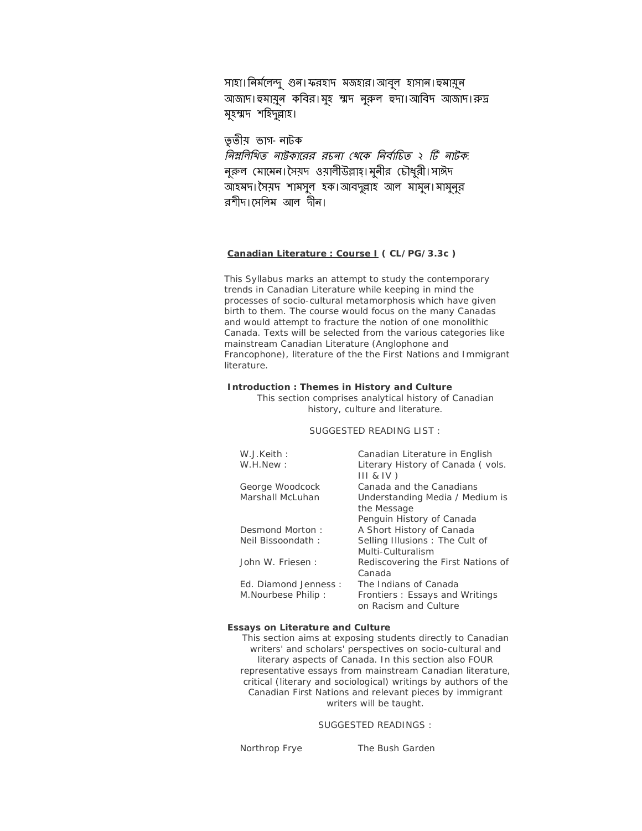সাহা।নির্মলেন্দু গুন।ফরহাদ মজহার।আবুল হাসান।হুমায়ুন আজাদ।হুমায়ুন কবির।মুহ শ্মদ নুরুল হুদা।আবিদ আজাদ।রুদ্র মুহম্মদ শহিদুল্লাহ।

তৃ তীয় ভাগ-নাটক

*নিম্নলিখিত নাউকারের রচনা খেকে নির্বাচিত ২ টি নাটক:* নুরুল মোমেন।সৈয়দ ওয়ালীউল্লাহ।মুনীর চৌধুরী।সাঈদ আহমদ। সৈয়দ শামসুল হক।আবদুল্লাহ আল মামুন। মামুনুর রশীদ।েসিলম আল দীন।

## **Canadian Literature : Course I ( CL/PG/3.3c )**

This Syllabus marks an attempt to study the contemporary trends in Canadian Literature while keeping in mind the processes of socio-cultural metamorphosis which have given birth to them. The course would focus on the many Canadas and would attempt to fracture the notion of one monolithic Canada. Texts will be selected from the various categories like mainstream Canadian Literature (Anglophone and Francophone), literature of the the First Nations and Immigrant literature.

#### **Introduction : Themes in History and Culture**

This section comprises analytical history of Canadian history, culture and literature.

#### SUGGESTED READING LIST :

| W.J.Keith:           | Canadian Literature in English     |
|----------------------|------------------------------------|
| W.H.New:             | Literary History of Canada (vols.  |
|                      | $III & IV$ )                       |
| George Woodcock      | Canada and the Canadians           |
| Marshall McLuhan     | Understanding Media / Medium is    |
|                      | the Message                        |
|                      | Penguin History of Canada          |
| Desmond Morton:      | A Short History of Canada          |
| Neil Bissoondath:    | Selling Illusions: The Cult of     |
|                      | Multi-Culturalism                  |
| John W. Friesen:     | Rediscovering the First Nations of |
|                      | Canada                             |
| Ed. Diamond Jenness: | The Indians of Canada              |
| M. Nourbese Philip:  | Frontiers: Essays and Writings     |
|                      | on Racism and Culture              |
|                      |                                    |

#### **Essays on Literature and Culture**

This section aims at exposing students directly to Canadian writers' and scholars' perspectives on socio-cultural and literary aspects of Canada. In this section also FOUR representative essays from mainstream Canadian literature, critical (literary and sociological) writings by authors of the Canadian First Nations and relevant pieces by immigrant writers will be taught.

## SUGGESTED READINGS :

Northrop Frye *The Bush Garden*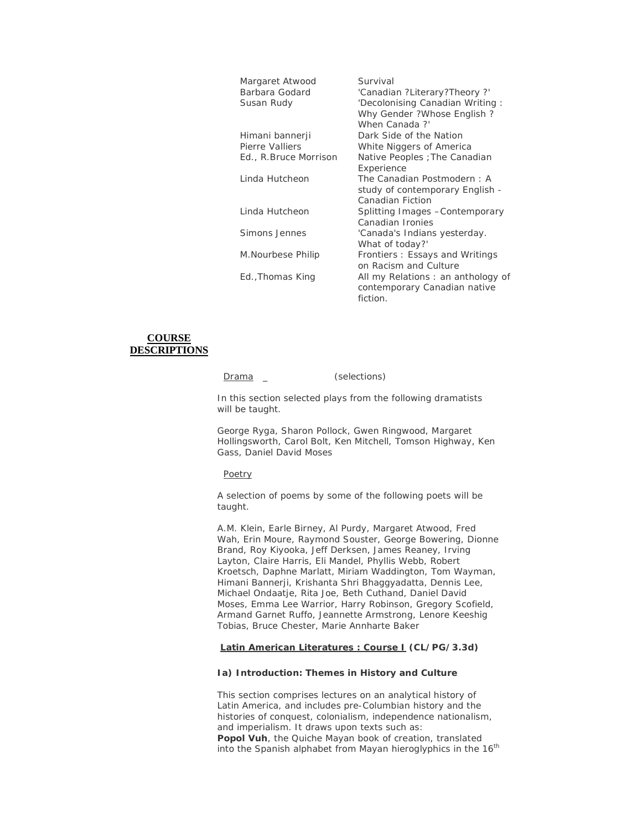| Margaret Atwood       | Survival                          |
|-----------------------|-----------------------------------|
| Barbara Godard        | 'Canadian ?Literary?Theory ?'     |
| Susan Rudy            | 'Decolonising Canadian Writing:   |
|                       | Why Gender ?Whose English ?       |
|                       | When Canada?'                     |
| Himani bannerji       | Dark Side of the Nation           |
| Pierre Valliers       | <i>White Niggers of America</i>   |
| Ed., R.Bruce Morrison | Native Peoples ; The Canadian     |
|                       | Experience                        |
| Linda Hutcheon        | The Canadian Postmodern: A        |
|                       | study of contemporary English -   |
|                       | Canadian Fiction                  |
| Linda Hutcheon        | Splitting Images - Contemporary   |
|                       | Canadian Ironies                  |
| Simons Jennes         | 'Canada's Indians yesterday.      |
|                       | What of today?'                   |
| M.Nourbese Philip     | Frontiers: Essays and Writings    |
|                       | on Racism and Culture             |
| Ed., Thomas King      | All my Relations: an anthology of |
|                       | contemporary Canadian native      |
|                       | fiction.                          |
|                       |                                   |

# **COURSE DESCRIPTIONS**

Drama \_ (selections)

In this section selected plays from the following dramatists will be taught.

George Ryga, Sharon Pollock, Gwen Ringwood, Margaret Hollingsworth, Carol Bolt, Ken Mitchell, Tomson Highway, Ken Gass, Daniel David Moses

Poetry

A selection of poems by some of the following poets will be taught.

A.M. Klein, Earle Birney, Al Purdy, Margaret Atwood, Fred Wah, Erin Moure, Raymond Souster, George Bowering, Dionne Brand, Roy Kiyooka, Jeff Derksen, James Reaney, Irving Layton, Claire Harris, Eli Mandel, Phyllis Webb, Robert Kroetsch, Daphne Marlatt, Miriam Waddington, Tom Wayman, Himani Bannerji, Krishanta Shri Bhaggyadatta, Dennis Lee, Michael Ondaatje, Rita Joe, Beth Cuthand, Daniel David Moses, Emma Lee Warrior, Harry Robinson, Gregory Scofield, Armand Garnet Ruffo, Jeannette Armstrong, Lenore Keeshig Tobias, Bruce Chester, Marie Annharte Baker

## **Latin American Literatures : Course I (CL/PG/3.3d)**

#### **Ia) Introduction: Themes in History and Culture**

This section comprises lectures on an analytical history of Latin America, and includes pre-Columbian history and the histories of conquest, colonialism, independence nationalism, and imperialism. It draws upon texts such as: **Popol Vuh**, the Quiche Mayan book of creation, translated into the Spanish alphabet from Mayan hieroglyphics in the  $16<sup>th</sup>$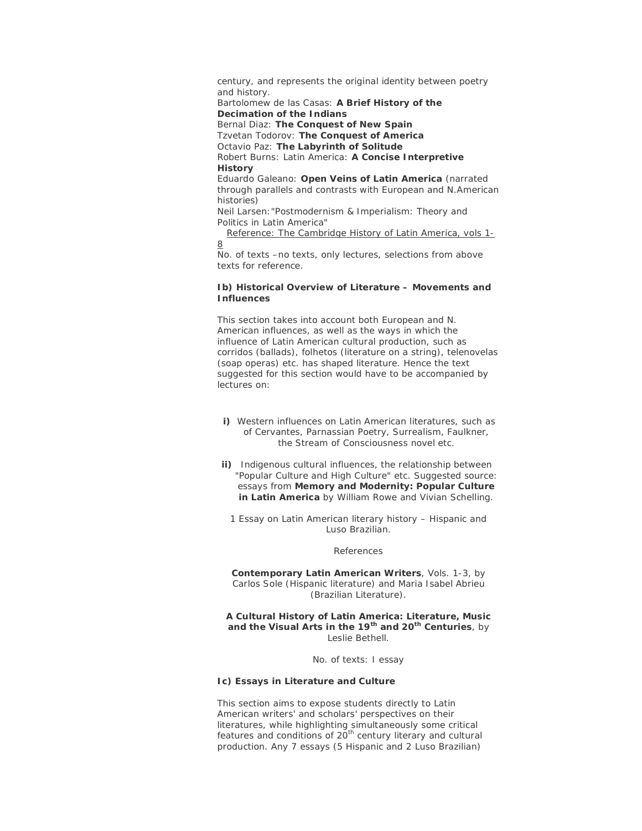century, and represents the original identity between poetry and history.

Bartolomew de las Casas: **A Brief History of the Decimation of the Indians**

Bernal Diaz: **The Conquest of New Spain** Tzvetan Todorov: **The Conquest of America**

Octavio Paz: **The Labyrinth of Solitude**

Robert Burns: Latin America: **A Concise Interpretive History**

Eduardo Galeano: **Open Veins of Latin America** (narrated through parallels and contrasts with European and N.American histories) Neil Larsen:"Postmodernism & Imperialism: Theory and

Politics in Latin America"

 Reference: The Cambridge History of Latin America, vols 1- 8

*No. of texts –no texts, only lectures, selections from above texts for reference.*

## **Ib) Historical Overview of Literature – Movements and Influences**

This section takes into account both European and N. American influences, as well as the ways in which the influence of Latin American cultural production, such as *corridos* (ballads), *folhetos* (literature on a string), *telenovelas* (soap operas) etc. has shaped literature. Hence the text suggested for this section would have to be accompanied by lectures on:

- **i)** Western influences on Latin American literatures, such as of Cervantes, Parnassian Poetry, Surrealism, Faulkner, the Stream of Consciousness novel etc.
- **ii)** Indigenous cultural influences, the relationship between "Popular Culture and High Culture" etc. Suggested source: essays from **Memory and Modernity: Popular Culture in Latin America** by William Rowe and Vivian Schelling.

1 Essay on Latin American literary history – Hispanic and Luso Brazilian.

References

**Contemporary Latin American Writers**, Vols. 1-3, by Carlos Sole (Hispanic literature) and Maria Isabel Abrieu (Brazilian Literature).

**A Cultural History of Latin America: Literature, Music and the Visual Arts in the 19th and 20th Centuries**, by Leslie Bethell.

No. of texts: I essay

## **Ic) Essays in Literature and Culture**

This section aims to expose students directly to Latin American writers' and scholars' perspectives on their literatures, while highlighting simultaneously some critical features and conditions of 20<sup>th</sup> century literary and cultural production. Any 7 essays (5 Hispanic and 2 Luso Brazilian)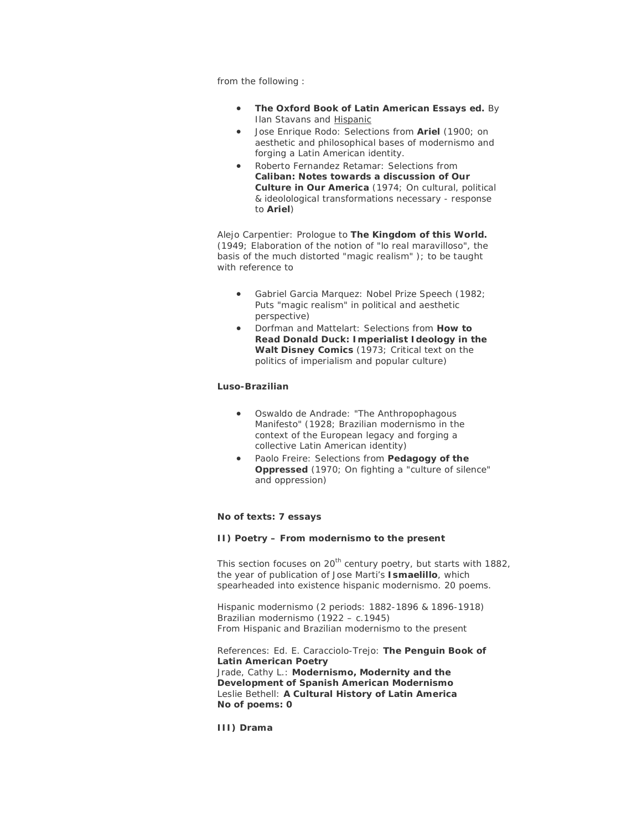from the following :

- **The Oxford Book of Latin American Essays ed.** By Ilan Stavans and Hispanic
- Jose Enrique Rodo: Selections from **Ariel** (1900; on aesthetic and philosophical bases of modernismo and forging a Latin American identity.
- Roberto Fernandez Retamar: Selections from **Caliban: Notes towards a discussion of Our Culture in Our America** (1974; On cultural, political & ideolological transformations necessary - response to **Ariel**)

Alejo Carpentier: Prologue to **The Kingdom of this World.** (1949; Elaboration of the notion of "lo real maravilloso", the basis of the much distorted "magic realism" ); to be taught with reference to

- Gabriel Garcia Marquez: Nobel Prize Speech (1982; Puts "magic realism" in political and aesthetic perspective)
- Dorfman and Mattelart: Selections from **How to Read Donald Duck: Imperialist Ideology in the Walt Disney Comics** (1973; Critical text on the politics of imperialism and popular culture)

## **Luso-Brazilian**

- Oswaldo de Andrade: "The Anthropophagous Manifesto" (1928; Brazilian modernismo in the context of the European legacy and forging a collective Latin American identity)
- Paolo Freire: Selections from **Pedagogy of the Oppressed** (1970; On fighting a "culture of silence" and oppression)

## **No of texts: 7 essays**

#### **II) Poetry – From modernismo to the present**

This section focuses on 20<sup>th</sup> century poetry, but starts with 1882, the year of publication of Jose Marti's **Ismaelillo**, which spearheaded into existence hispanic modernismo. 20 poems.

*Hispanic modernismo* (2 periods: 1882-1896 & 1896-1918) *Brazilian modernismo* (1922 – c.1945) *From Hispanic and Brazilian modernismo to the present*

References: Ed. E. Caracciolo-Trejo: **The Penguin Book of Latin American Poetry** Jrade, Cathy L.: **Modernismo, Modernity and the Development of Spanish American Modernismo** Leslie Bethell: **A Cultural History of Latin America No of poems: 0**

**III) Drama**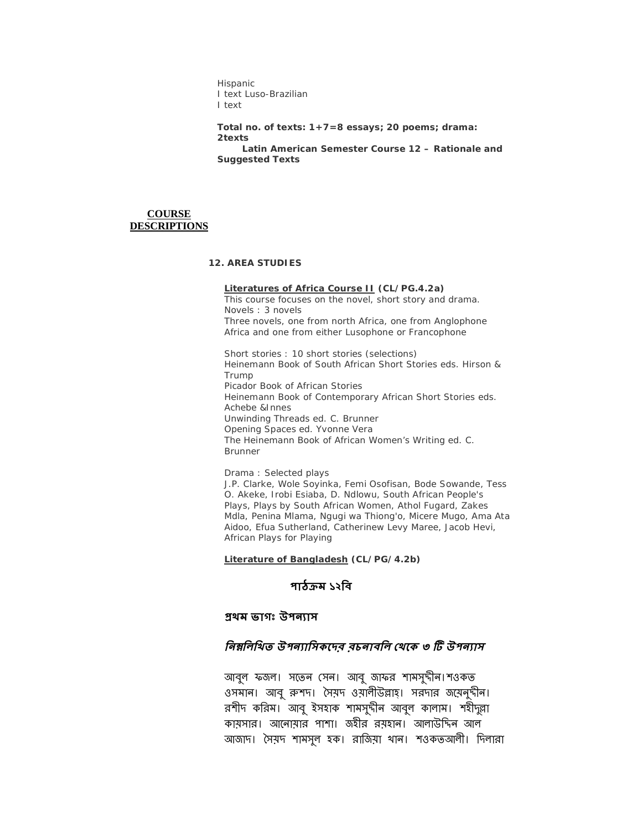*Hispanic*  I text *Luso-Brazilian* I text

**Total no. of texts: 1+7=8 essays; 20 poems; drama: 2texts Latin American Semester Course 12 – Rationale and Suggested Texts**

# **COURSE DESCRIPTIONS**

## **12. AREA STUDIES**

## **Literatures of Africa Course II (CL/PG.4.2a)**

This course focuses on the novel, short story and drama. Novels : 3 novels Three novels, one from north Africa, one from Anglophone Africa and one from either Lusophone or Francophone

Short stories : 10 short stories (selections) *Heinemann Book of South African Short Stories* eds. Hirson & Trump *Picador Book of African Stories Heinemann Book of Contemporary African Short Stories* eds. Achebe &Innes *Unwinding Threads* ed. C. Brunner *Opening Spaces* ed. Yvonne Vera *The Heinemann Book of African Women's Writing* ed. C. Brunner

Drama : Selected plays J.P. Clarke, Wole Soyinka, Femi Osofisan, Bode Sowande, Tess O. Akeke, Irobi Esiaba, D. Ndlowu, South African People's Plays, Plays by South African Women, Athol Fugard, Zakes Mdla, Penina Mlama, Ngugi wa Thiong'o, Micere Mugo, Ama Ata Aidoo, Efua Sutherland, Catherinew Levy Maree, Jacob Hevi, African Plays for Playing

#### **Literature of Bangladesh (CL/PG/4.2b)**

# **পাঠƠম ১২িব**

# **Ƶথম ভাগঃ উপনƟাস**

# *নিম্নলিখিত উপন্যাসিকদের বচনাবলি থেকে ৩ টি উপন্যাস*

আবুল ফজল। সতেন সেন। আবু জাফর শামসুদীন।শওকত ওসমান। আবু রুশদ। সৈয়দ ওয়ালীউল্লাহ। সরদার জয়েনুদীন। রশীদ করিম। আবু ইসহাক শামসুদীন আবুল কালাম। শহীদুল্লা কায়সার। আেনায়ার পাশা। জহীর রয়হান। আলাউিțন আল আজাদ। সৈয়দ শামসুল হক। রাজিয়া থান। শওকতআলী। দিলারা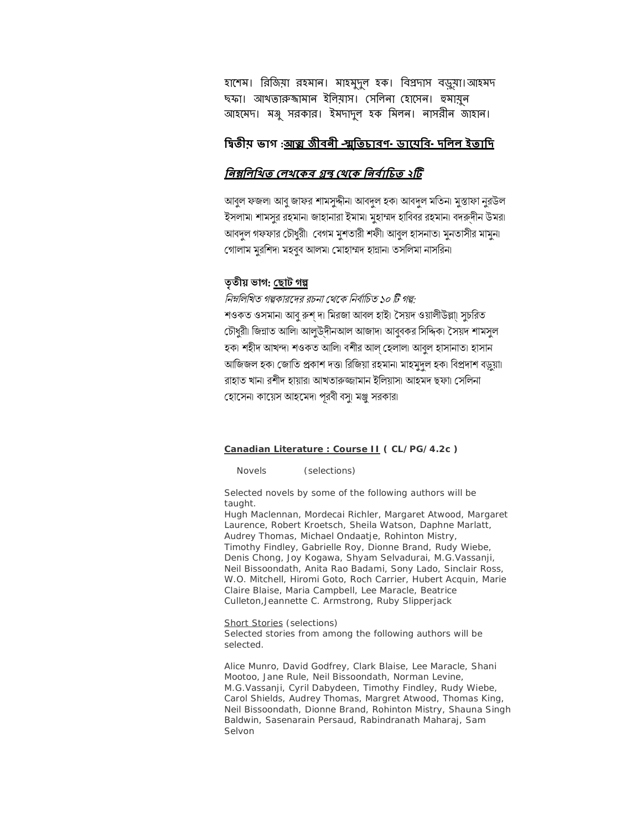হাশেম। রিজিয়া রহমান। মাহমুদুল হক। বিপ্রদাস বড়ুয়া।আহমদ ছফা। আখতারুঙ্গামান ইলিয়াস। সেলিনা হােসেন। হুমায়ুন আহেমদ। মǻু সরকার। ইমদাদুল হক িমলন। নাসরীন জাহান।

# **িʸতীয় ভাগ :আȕ জীবনী –ʍৃিতচারণ-ডােয়ির-দিলল ইতািদ**

# <u>নিম্নলিখিত লেখকেব গ্রন্থ থেকে নির্বাচিত ২টি</u>

আবুল ফজলা আবু জাফর শামসুদ্দীনা আবদল হকা আবদল মতিনা মুস্তাফা নুরউল ইসলাম। শামসুর রহমান। জাহানারা ইমাম। মুহাম্মদ হাবিবর রহমান। বদরুদীন উমর। আবদল গফফার চৌধুরী। বেগম মুশতারী শফী৷ আবুল হাসনাত৷ মুনতাসীর মামুন৷ গোলাম মুরশিদ। মহবুব আলমা মোহাম্মদ হান্নানা তসলিমা নাসরিন।

# তৃতীয় ভাগ: <u>ছোট গল্</u>প

*নিম্নলিখিত গল্পকারদের রচনা থেকে নির্বাচিত ১০ টি গল্প:* শওকত ওসমান৷ আবু রুশ দ৷ মিরজা আবল হাই৷ সৈয়দ ওয়ালীউল্লা৷ সুচরিত চৌধুরী। জিন্নাত আলি। আলুউ্দীনআল আজাদ। আবুবকর সিদ্দিক। সৈয়দ শামসুল হক। শহীদ আখন্দ। শওকত আলি৷ বশীর আল হেলাল৷ আবল হাসানাত৷ হাসান আজিজল হক। জোতি প্রকাশ দত্ত। রিজিয়া রহমান। মাহমুদল হক। বিপ্রদাশ বড়ুয়া। রাহাত খানা রশীদ হায়ারা আখতারুজ্জামান ইলিয়াসা আহমদ ছফা। সেলিনা হােসেনা কায়েস আহমেদা পূরবী বসু। মঞ্জু সরকারা

## **Canadian Literature : Course II ( CL/PG/4.2c )**

Novels (selections)

Selected novels by some of the following authors will be taught.

Hugh Maclennan, Mordecai Richler, Margaret Atwood, Margaret Laurence, Robert Kroetsch, Sheila Watson, Daphne Marlatt, Audrey Thomas, Michael Ondaatje, Rohinton Mistry, Timothy Findley, Gabrielle Roy, Dionne Brand, Rudy Wiebe, Denis Chong, Joy Kogawa, Shyam Selvadurai, M.G.Vassanji, Neil Bissoondath, Anita Rao Badami, Sony Lado, Sinclair Ross, W.O. Mitchell, Hiromi Goto, Roch Carrier, Hubert Acquin, Marie Claire Blaise, Maria Campbell, Lee Maracle, Beatrice Culleton,Jeannette C. Armstrong, Ruby Slipperjack

Short Stories (selections) Selected stories from among the following authors will be selected.

Alice Munro, David Godfrey, Clark Blaise, Lee Maracle, Shani Mootoo, Jane Rule, Neil Bissoondath, Norman Levine, M.G.Vassanji, Cyril Dabydeen, Timothy Findley, Rudy Wiebe, Carol Shields, Audrey Thomas, Margret Atwood, Thomas King, Neil Bissoondath, Dionne Brand, Rohinton Mistry, Shauna Singh Baldwin, Sasenarain Persaud, Rabindranath Maharaj, Sam Selvon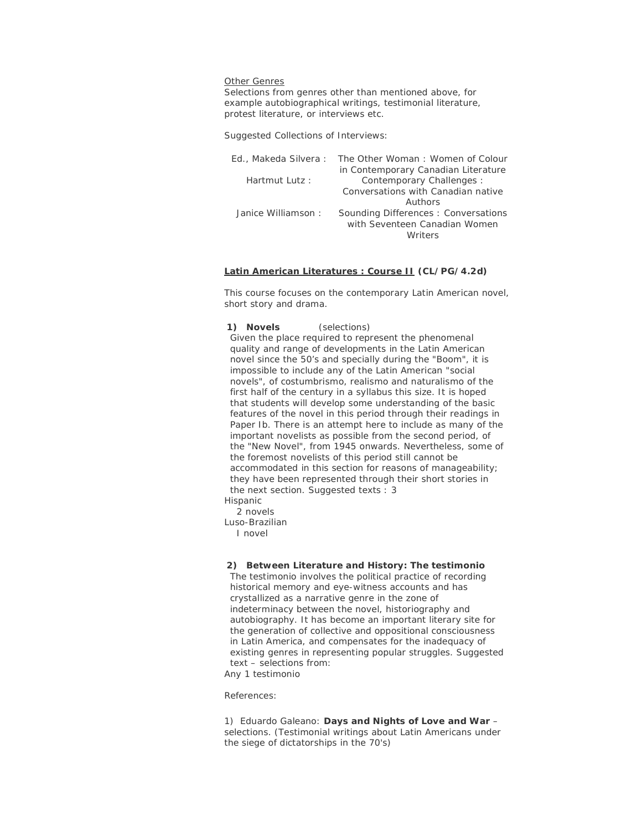#### Other Genres

Selections from genres other than mentioned above, for example autobiographical writings, testimonial literature, protest literature, or interviews etc.

Suggested Collections of Interviews:

|                    | Ed., Makeda Silvera: The Other Woman: Women of Colour |
|--------------------|-------------------------------------------------------|
|                    | in Contemporary Canadian Literature                   |
| Hartmut Lutz:      | Contemporary Challenges:                              |
|                    | Conversations with Canadian native                    |
|                    | Authors                                               |
| Janice Williamson: | Sounding Differences: Conversations                   |
|                    | with Seventeen Canadian Women                         |
|                    | <i>Mriters</i>                                        |

#### **Latin American Literatures : Course II (CL/PG/4.2d)**

This course focuses on the contemporary Latin American novel, short story and drama.

#### **1) Novels** (selections)

Given the place required to represent the phenomenal quality and range of developments in the Latin American novel since the 50's and specially during the "Boom", it is impossible to include any of the Latin American "social novels", *of costumbrismo, realismo and naturalismo* of the first half of the century in a syllabus this size. It is hoped that students will develop some understanding of the basic features of the novel in this period through their readings in Paper Ib. There is an attempt here to include as many of the important novelists as possible from the second period, of the "New Novel", from 1945 onwards. Nevertheless, some of the foremost novelists of this period still cannot be accommodated in this section for reasons of manageability; they have been represented through their short stories in the next section. Suggested texts : 3 *Hispanic*

 2 novels *Luso-Brazilian*

I novel

## **2) Between Literature and History:** *The testimonio*

The testimonio involves the political practice of recording historical memory and eye-witness accounts and has crystallized as a narrative genre in the zone of indeterminacy between the novel, historiography and autobiography. It has become an important literary site for the generation of collective and oppositional consciousness in Latin America, and compensates for the inadequacy of existing genres in representing popular struggles. Suggested text – selections from:

Any 1 testimonio

References:

1) Eduardo Galeano: **Days and Nights of Love and War** – selections. (Testimonial writings about Latin Americans under the siege of dictatorships in the 70's)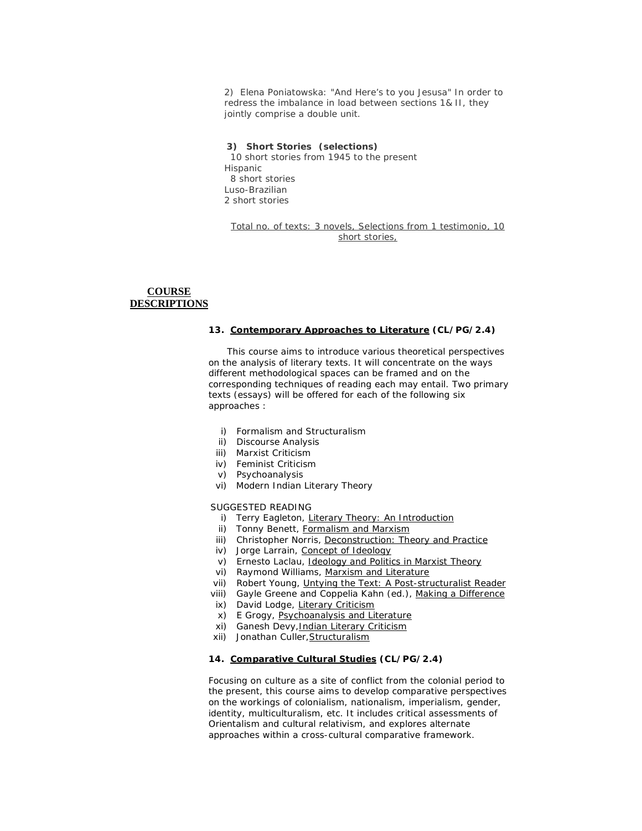2) Elena Poniatowska: "And Here's to you Jesusa" In order to redress the imbalance in load between sections 1& II, they jointly comprise a double unit.

#### **3) Short Stories (selections)**

 10 short stories from 1945 to the present *Hispanic* 8 short stories *Luso-Brazilian* 2 short stories

Total no. of texts: 3 novels, Selections from 1 *testimonio*, 10 short stories,

# **COURSE DESCRIPTIONS**

#### **13. Contemporary Approaches to Literature (CL/PG/2.4)**

 This course aims to introduce various theoretical perspectives on the analysis of literary texts. It will concentrate on the ways different methodological spaces can be framed and on the corresponding techniques of reading each may entail. Two primary texts (essays) will be offered for each of the following six approaches :

- i) Formalism and Structuralism
- ii) Discourse Analysis
- iii) Marxist Criticism
- iv) Feminist Criticism
- v) Psychoanalysis
- vi) Modern Indian Literary Theory

#### SUGGESTED READING

- i) Terry Eagleton, Literary Theory: An Introduction
- ii) Tonny Benett, Formalism and Marxism
- iii) Christopher Norris, Deconstruction: Theory and Practice
- iv) Jorge Larrain, Concept of Ideology
- v) Ernesto Laclau, Ideology and Politics in Marxist Theory
- vi) Raymond Williams, Marxism and Literature
- vii) Robert Young, Untying the Text: A Post-structuralist Reader
- viii) Gayle Greene and Coppelia Kahn (ed.), Making a Difference
- ix) David Lodge, Literary Criticism
- x) E Grogy, Psychoanalysis and Literature
- xi) Ganesh Devy, Indian Literary Criticism
- xii) Jonathan Culler,Structuralism

## **14. Comparative Cultural Studies (CL/PG/2.4)**

Focusing on culture as a site of conflict from the colonial period to the present, this course aims to develop comparative perspectives on the workings of colonialism, nationalism, imperialism, gender, identity, multiculturalism, etc. It includes critical assessments of Orientalism and cultural relativism, and explores alternate approaches within a cross-cultural comparative framework.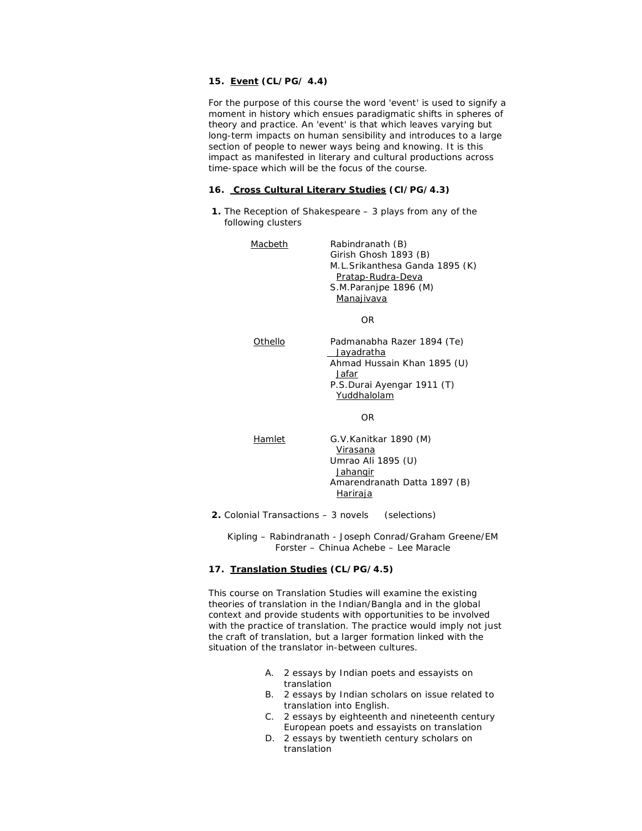## **15. Event (CL/PG/ 4.4)**

For the purpose of this course the word 'event' is used to signify a moment in history which ensues paradigmatic shifts in spheres of theory and practice. An 'event' is that which leaves varying but long-term impacts on human sensibility and introduces to a large section of people to newer ways being and knowing. It is this impact as manifested in literary and cultural productions across time-space which will be the focus of the course.

#### **16. Cross Cultural Literary Studies (Cl/PG/4.3)**

**1.** The Reception of Shakespeare – 3 plays from any of the following clusters

| Macbeth | Rabindranath (B)               |
|---------|--------------------------------|
|         | Girish Ghosh 1893 (B)          |
|         | M.L.Srikanthesa Ganda 1895 (K) |
|         | Pratap-Rudra-Deva              |
|         | S.M.Paranipe 1896 (M)          |
|         | Manajivava                     |
|         |                                |
|         | ΩR                             |
|         |                                |

Othello Padmanabha Razer 1894 (Te) **Jayadratha**  Ahmad Hussain Khan 1895 (U) Jafar P.S.Durai Ayengar 1911 (T) **Yuddhalolam** 

OR

Hamlet G.V.Kanitkar 1890 (M) Virasana Umrao Ali 1895 (U) **Jahangir**  Amarendranath Datta 1897 (B) Hariraja

#### **2.** Colonial Transactions – 3 novels (selections)

 Kipling – Rabindranath - Joseph Conrad/Graham Greene/EM Forster – Chinua Achebe – Lee Maracle

#### **17. Translation Studies (CL/PG/4.5)**

This course on Translation Studies will examine the existing theories of translation in the Indian/Bangla and in the global context and provide students with opportunities to be involved with the practice of translation. The practice would imply not just the craft of translation, but a larger formation linked with the situation of the translator in-between cultures.

- A. 2 essays by Indian poets and essayists on translation
- B. 2 essays by Indian scholars on issue related to translation into English.
- C. 2 essays by eighteenth and nineteenth century European poets and essayists on translation
- D. 2 essays by twentieth century scholars on translation